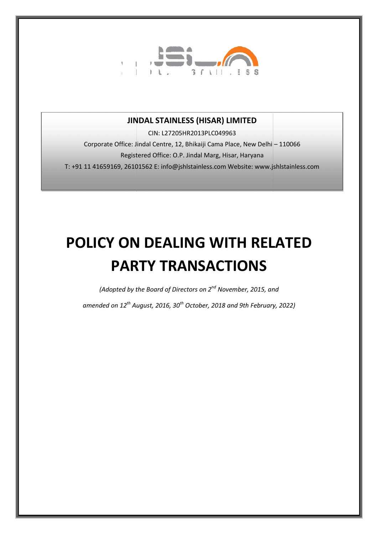

# JINDAL STAINLESS (HISAR) LIMITED

Corporate Office: Jindal Centre, 12, Bhikaiji Cama Place, New Delhi – 110066 Registered Office: O.P. Jindal Marg, Hisar, Haryana T: +91 11 41659169, 26101562 E: info@jshlstainless.com Website: www.jshlstainless.com CIN: L27205HR2013PLC049963

# POLICY ON DEALING WITH RELATED PARTY TRANSACTIONS

*(Adopted by the Board of Directors on 2 2nd November, 2015, and* 

*amended on 12th August, 2016 2016, 30th October, 2018 and 9th February, 2022 and 2022)*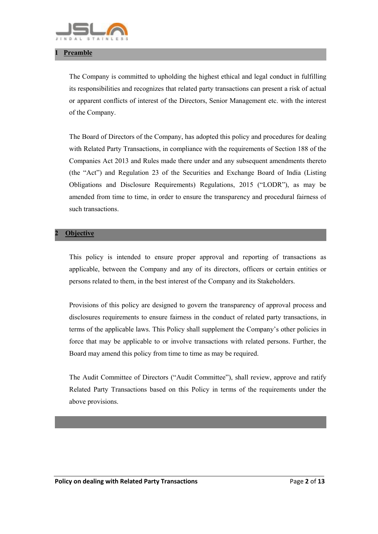

#### **Preamble**

The Company is committed to upholding the highest ethical and legal conduct in fulfilling its responsibilities and recognizes that related party transactions can present a risk of actual or apparent conflicts of interest of the Directors, Senior Management etc. with the interest of the Company.

The Board of Directors of the Company, has adopted this policy and procedures for dealing with Related Party Transactions, in compliance with the requirements of Section 188 of the Companies Act 2013 and Rules made there under and any subsequent amendments thereto (the "Act") and Regulation 23 of the Securities and Exchange Board of India (Listing Obligations and Disclosure Requirements) Regulations, 2015 ("LODR"), as may be amended from time to time, in order to ensure the transparency and procedural fairness of such transactions.

#### **Objective**

This policy is intended to ensure proper approval and reporting of transactions as applicable, between the Company and any of its directors, officers or certain entities or persons related to them, in the best interest of the Company and its Stakeholders.

Provisions of this policy are designed to govern the transparency of approval process and disclosures requirements to ensure fairness in the conduct of related party transactions, in terms of the applicable laws. This Policy shall supplement the Company's other policies in force that may be applicable to or involve transactions with related persons. Further, the Board may amend this policy from time to time as may be required.

The Audit Committee of Directors ("Audit Committee"), shall review, approve and ratify Related Party Transactions based on this Policy in terms of the requirements under the above provisions.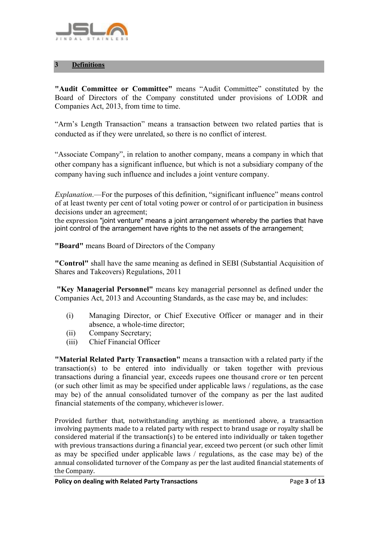

## 3 Definitions

"Audit Committee or Committee" means "Audit Committee" constituted by the Board of Directors of the Company constituted under provisions of LODR and Companies Act, 2013, from time to time.

"Arm's Length Transaction" means a transaction between two related parties that is conducted as if they were unrelated, so there is no conflict of interest.

"Associate Company", in relation to another company, means a company in which that other company has a significant influence, but which is not a subsidiary company of the company having such influence and includes a joint venture company.

*Explanation*.—For the purposes of this definition, "significant influence" means control of at least twenty per cent of total voting power or control of or participation in business decisions under an agreement;

the expression "joint venture" means a joint arrangement whereby the parties that have joint control of the arrangement have rights to the net assets of the arrangement;

"Board" means Board of Directors of the Company

"Control" shall have the same meaning as defined in SEBI (Substantial Acquisition of Shares and Takeovers) Regulations, 2011

"Key Managerial Personnel" means key managerial personnel as defined under the Companies Act, 2013 and Accounting Standards, as the case may be, and includes:

- (i) Managing Director, or Chief Executive Officer or manager and in their absence, a whole-time director;
- (ii) Company Secretary;
- (iii) Chief Financial Officer

"Material Related Party Transaction" means a transaction with a related party if the transaction(s) to be entered into individually or taken together with previous transactions during a financial year, exceeds rupees one thousand crore or ten percent (or such other limit as may be specified under applicable laws / regulations, as the case may be) of the annual consolidated turnover of the company as per the last audited financial statements of the company, whichever is lower.

Provided further that, notwithstanding anything as mentioned above, a transaction involving payments made to a related party with respect to brand usage or royalty shall be considered material if the transaction(s) to be entered into individually or taken together with previous transactions during a financial year, exceed two percent (or such other limit as may be specified under applicable laws / regulations, as the case may be) of the annual consolidated turnover of the Company as per the last audited financial statements of the Company.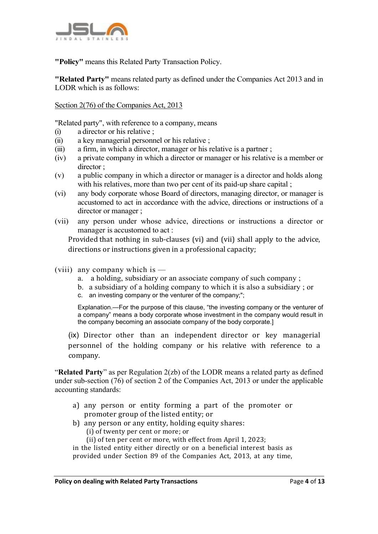

"Policy" means this Related Party Transaction Policy.

"Related Party" means related party as defined under the Companies Act 2013 and in LODR which is as follows:

#### Section 2(76) of the Companies Act, 2013

"Related party", with reference to a company, means

- (i) a director or his relative ;
- (ii) a key managerial personnel or his relative ;
- (iii) a firm, in which a director, manager or his relative is a partner ;
- (iv) a private company in which a director or manager or his relative is a member or director ;
- (v) a public company in which a director or manager is a director and holds along with his relatives, more than two per cent of its paid-up share capital :
- (vi) any body corporate whose Board of directors, managing director, or manager is accustomed to act in accordance with the advice, directions or instructions of a director or manager ;
- (vii) any person under whose advice, directions or instructions a director or manager is accustomed to act :

Provided that nothing in sub-clauses (vi) and (vii) shall apply to the advice, directions or instructions given in a professional capacity;

- (viii) any company which is
	- a. a holding, subsidiary or an associate company of such company ;
	- b. a subsidiary of a holding company to which it is also a subsidiary ; or
	- c. an investing company or the venturer of the company;";

Explanation.—For the purpose of this clause, "the investing company or the venturer of a company" means a body corporate whose investment in the company would result in the company becoming an associate company of the body corporate.]

(ix) Director other than an independent director or key managerial personnel of the holding company or his relative with reference to a company.

"Related Party" as per Regulation 2(zb) of the LODR means a related party as defined under sub-section (76) of section 2 of the Companies Act, 2013 or under the applicable accounting standards:

- a) any person or entity forming a part of the promoter or promoter group of the listed entity; or
- b) any person or any entity, holding equity shares:
	- (i) of twenty per cent or more; or
	- (ii) of ten per cent or more, with effect from April 1, 2023;

in the listed entity either directly or on a beneficial interest basis as provided under Section 89 of the Companies Act, 2013, at any time,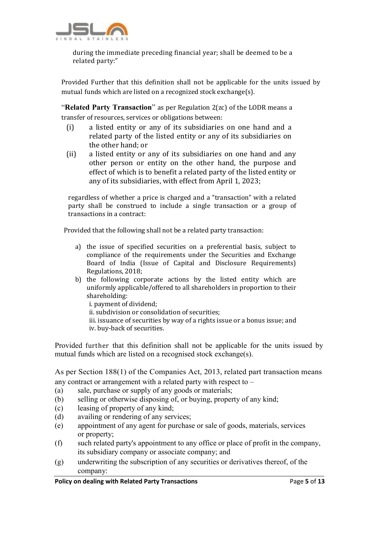

during the immediate preceding financial year; shall be deemed to be a related party:"

Provided Further that this definition shall not be applicable for the units issued by mutual funds which are listed on a recognized stock exchange(s).

"Related Party Transaction" as per Regulation 2(zc) of the LODR means a transfer of resources, services or obligations between:

- (i) a listed entity or any of its subsidiaries on one hand and a related party of the listed entity or any of its subsidiaries on the other hand; or
- (ii) a listed entity or any of its subsidiaries on one hand and any other person or entity on the other hand, the purpose and effect of which is to benefit a related party of the listed entity or any of its subsidiaries, with effect from April 1, 2023;

regardless of whether a price is charged and a "transaction" with a related party shall be construed to include a single transaction or a group of transactions in a contract:

Provided that the following shall not be a related party transaction:

- a) the issue of specified securities on a preferential basis, subject to compliance of the requirements under the Securities and Exchange Board of India (Issue of Capital and Disclosure Requirements) Regulations, 2018;
- b) the following corporate actions by the listed entity which are uniformly applicable/offered to all shareholders in proportion to their shareholding:

i. payment of dividend; ii. subdivision or consolidation of securities; iii. issuance of securities by way of a rights issue or a bonus issue; and

iv. buy-back of securities.

Provided further that this definition shall not be applicable for the units issued by mutual funds which are listed on a recognised stock exchange(s).

As per Section 188(1) of the Companies Act, 2013, related part transaction means any contract or arrangement with a related party with respect to –

- (a) sale, purchase or supply of any goods or materials;
- (b) selling or otherwise disposing of, or buying, property of any kind;
- (c) leasing of property of any kind;
- (d) availing or rendering of any services;
- (e) appointment of any agent for purchase or sale of goods, materials, services or property;
- (f) such related party's appointment to any office or place of profit in the company, its subsidiary company or associate company; and
- (g) underwriting the subscription of any securities or derivatives thereof, of the company: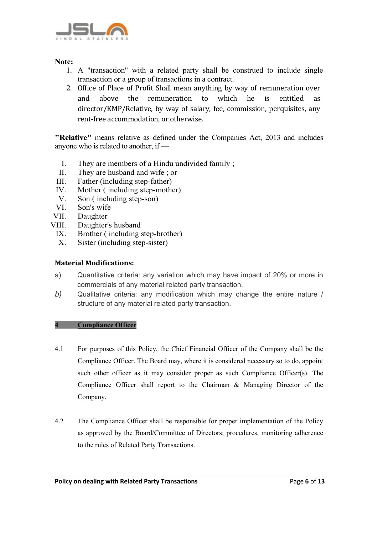

## Note:

- 1. A "transaction" with a related party shall be construed to include single transaction or a group of transactions in a contract.
- 2. Office of Place of Profit Shall mean anything by way of remuneration over and above the remuneration to which he is entitled as director/KMP/Relative, by way of salary, fee, commission, perquisites, any rent-free accommodation, or otherwise.

"Relative" means relative as defined under the Companies Act, 2013 and includes anyone who is related to another, if —

- I. They are members of a Hindu undivided family ;
- II. They are husband and wife ; or
- III. Father (including step-father)
- IV. Mother ( including step-mother)
- V. Son ( including step-son)
- VI. Son's wife
- 
- VII. Daughter<br>VIII. Daughter' Daughter's husband
	- IX. Brother ( including step-brother)
	- X. Sister (including step-sister)

## Material Modifications:

- a) Quantitative criteria: any variation which may have impact of 20% or more in commercials of any material related party transaction.
- *b)* Qualitative criteria: any modification which may change the entire nature / structure of any material related party transaction.

#### 4 Compliance Officer

- 4.1 For purposes of this Policy, the Chief Financial Officer of the Company shall be the Compliance Officer. The Board may, where it is considered necessary so to do, appoint such other officer as it may consider proper as such Compliance Officer(s). The Compliance Officer shall report to the Chairman & Managing Director of the Company.
- 4.2 The Compliance Officer shall be responsible for proper implementation of the Policy as approved by the Board/Committee of Directors; procedures, monitoring adherence to the rules of Related Party Transactions.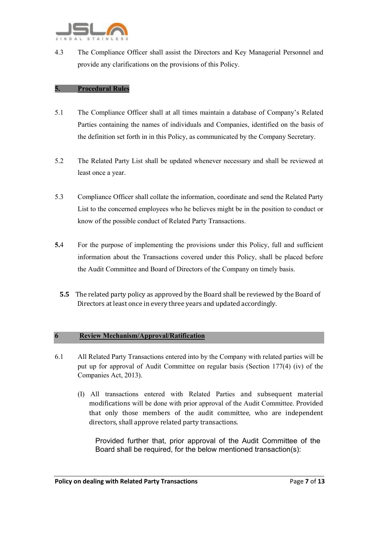

4.3 The Compliance Officer shall assist the Directors and Key Managerial Personnel and provide any clarifications on the provisions of this Policy.

#### 5. Procedural Rules

- 5.1 The Compliance Officer shall at all times maintain a database of Company's Related Parties containing the names of individuals and Companies, identified on the basis of the definition set forth in in this Policy, as communicated by the Company Secretary.
- 5.2 The Related Party List shall be updated whenever necessary and shall be reviewed at least once a year.
- 5.3 Compliance Officer shall collate the information, coordinate and send the Related Party List to the concerned employees who he believes might be in the position to conduct or know of the possible conduct of Related Party Transactions.
- 5.4 For the purpose of implementing the provisions under this Policy, full and sufficient information about the Transactions covered under this Policy, shall be placed before the Audit Committee and Board of Directors of the Company on timely basis.
	- 5.5 The related party policy as approved by the Board shall be reviewed by the Board of Directors at least once in every three years and updated accordingly.

#### 6 Review Mechanism/Approval/Ratification

- 6.1 All Related Party Transactions entered into by the Company with related parties will be put up for approval of Audit Committee on regular basis (Section 177(4) (iv) of the Companies Act, 2013).
	- (I) All transactions entered with Related Parties and subsequent material modifications will be done with prior approval of the Audit Committee. Provided that only those members of the audit committee, who are independent directors, shall approve related party transactions.

Provided further that, prior approval of the Audit Committee of the Board shall be required, for the below mentioned transaction(s):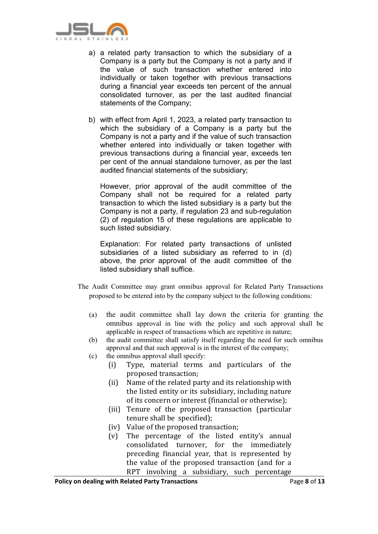

- a) a related party transaction to which the subsidiary of a Company is a party but the Company is not a party and if the value of such transaction whether entered into individually or taken together with previous transactions during a financial year exceeds ten percent of the annual consolidated turnover, as per the last audited financial statements of the Company;
- b) with effect from April 1, 2023, a related party transaction to which the subsidiary of a Company is a party but the Company is not a party and if the value of such transaction whether entered into individually or taken together with previous transactions during a financial year, exceeds ten per cent of the annual standalone turnover, as per the last audited financial statements of the subsidiary;

However, prior approval of the audit committee of the Company shall not be required for a related party transaction to which the listed subsidiary is a party but the Company is not a party, if regulation 23 and sub-regulation (2) of regulation 15 of these regulations are applicable to such listed subsidiary.

Explanation: For related party transactions of unlisted subsidiaries of a listed subsidiary as referred to in (d) above, the prior approval of the audit committee of the listed subsidiary shall suffice.

- The Audit Committee may grant omnibus approval for Related Party Transactions proposed to be entered into by the company subject to the following conditions:
	- (a) the audit committee shall lay down the criteria for granting the omnibus approval in line with the policy and such approval shall be applicable in respect of transactions which are repetitive in nature;
	- (b) the audit committee shall satisfy itself regarding the need for such omnibus approval and that such approval is in the interest of the company;
	- (c) the omnibus approval shall specify:
		- (i) Type, material terms and particulars of the proposed transaction;
		- (ii) Name of the related party and its relationship with the listed entity or its subsidiary, including nature of its concern or interest (financial or otherwise);
		- (iii) Tenure of the proposed transaction (particular tenure shall be specified);
		- (iv) Value of the proposed transaction;
		- (v) The percentage of the listed entity's annual consolidated turnover, for the immediately preceding financial year, that is represented by the value of the proposed transaction (and for a RPT involving a subsidiary, such percentage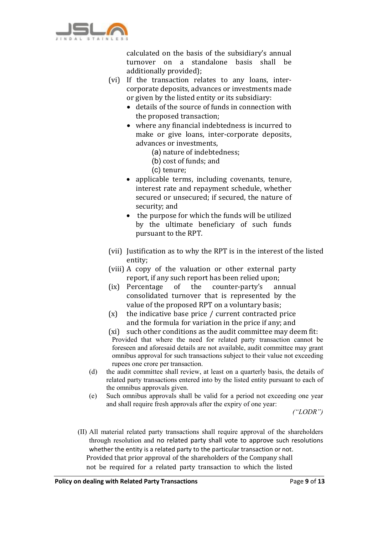

calculated on the basis of the subsidiary's annual turnover on a standalone basis shall be additionally provided);

- (vi) If the transaction relates to any loans, intercorporate deposits, advances or investments made or given by the listed entity or its subsidiary:
	- details of the source of funds in connection with the proposed transaction;
	- where any financial indebtedness is incurred to make or give loans, inter-corporate deposits, advances or investments,
		- (a) nature of indebtedness;
		- (b) cost of funds; and
		- (c) tenure;
	- applicable terms, including covenants, tenure, interest rate and repayment schedule, whether secured or unsecured; if secured, the nature of security; and
	- the purpose for which the funds will be utilized by the ultimate beneficiary of such funds pursuant to the RPT.
- (vii) Justification as to why the RPT is in the interest of the listed entity;
- (viii) A copy of the valuation or other external party report, if any such report has been relied upon;
- (ix) Percentage of the counter-party's annual consolidated turnover that is represented by the value of the proposed RPT on a voluntary basis;
- $(x)$  the indicative base price / current contracted price and the formula for variation in the price if any; and
- (xi) such other conditions as the audit committee may deem fit: Provided that where the need for related party transaction cannot be foreseen and aforesaid details are not available, audit committee may grant omnibus approval for such transactions subject to their value not exceeding rupees one crore per transaction.
- (d) the audit committee shall review, at least on a quarterly basis, the details of related party transactions entered into by the listed entity pursuant to each of the omnibus approvals given.
- (e) Such omnibus approvals shall be valid for a period not exceeding one year and shall require fresh approvals after the expiry of one year:

*("LODR")*

(II) All material related party transactions shall require approval of the shareholders through resolution and no related party shall vote to approve such resolutions whether the entity is a related party to the particular transaction or not. Provided that prior approval of the shareholders of the Company shall not be required for a related party transaction to which the listed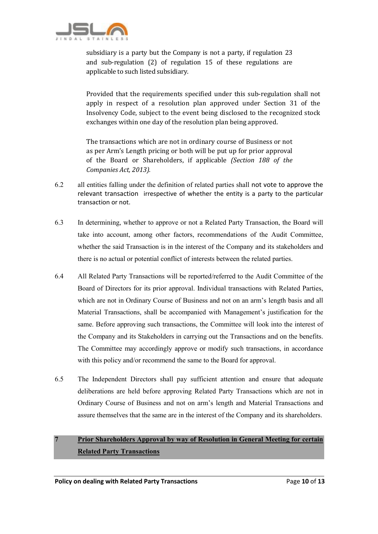

subsidiary is a party but the Company is not a party, if regulation 23 and sub-regulation (2) of regulation 15 of these regulations are applicable to such listed subsidiary.

Provided that the requirements specified under this sub-regulation shall not apply in respect of a resolution plan approved under Section 31 of the Insolvency Code, subject to the event being disclosed to the recognized stock exchanges within one day of the resolution plan being approved.

The transactions which are not in ordinary course of Business or not as per Arm's Length pricing or both will be put up for prior approval of the Board or Shareholders, if applicable *(Section 188 of the Companies Act, 2013).*

- 6.2 all entities falling under the definition of related parties shall not vote to approve the relevant transaction irrespective of whether the entity is a party to the particular transaction or not.
- 6.3 In determining, whether to approve or not a Related Party Transaction, the Board will take into account, among other factors, recommendations of the Audit Committee, whether the said Transaction is in the interest of the Company and its stakeholders and there is no actual or potential conflict of interests between the related parties.
- 6.4 All Related Party Transactions will be reported/referred to the Audit Committee of the Board of Directors for its prior approval. Individual transactions with Related Parties, which are not in Ordinary Course of Business and not on an arm's length basis and all Material Transactions, shall be accompanied with Management's justification for the same. Before approving such transactions, the Committee will look into the interest of the Company and its Stakeholders in carrying out the Transactions and on the benefits. The Committee may accordingly approve or modify such transactions, in accordance with this policy and/or recommend the same to the Board for approval.
- 6.5 The Independent Directors shall pay sufficient attention and ensure that adequate deliberations are held before approving Related Party Transactions which are not in Ordinary Course of Business and not on arm's length and Material Transactions and assure themselves that the same are in the interest of the Company and its shareholders.

# 7 Prior Shareholders Approval by way of Resolution in General Meeting for certain Related Party Transactions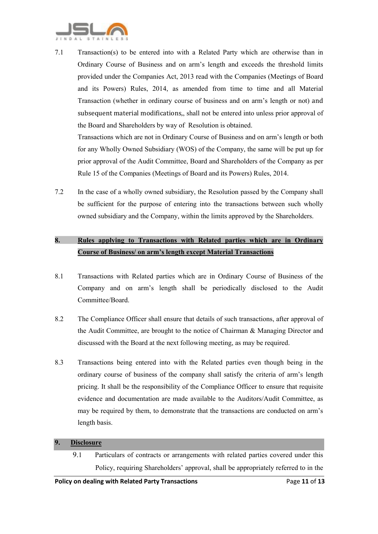

7.1 Transaction(s) to be entered into with a Related Party which are otherwise than in Ordinary Course of Business and on arm's length and exceeds the threshold limits provided under the Companies Act, 2013 read with the Companies (Meetings of Board and its Powers) Rules, 2014, as amended from time to time and all Material Transaction (whether in ordinary course of business and on arm's length or not) and subsequent material modifications,, shall not be entered into unless prior approval of the Board and Shareholders by way of Resolution is obtained.

Transactions which are not in Ordinary Course of Business and on arm's length or both for any Wholly Owned Subsidiary (WOS) of the Company, the same will be put up for prior approval of the Audit Committee, Board and Shareholders of the Company as per Rule 15 of the Companies (Meetings of Board and its Powers) Rules, 2014.

7.2 In the case of a wholly owned subsidiary, the Resolution passed by the Company shall be sufficient for the purpose of entering into the transactions between such wholly owned subsidiary and the Company, within the limits approved by the Shareholders.

# 8. Rules applying to Transactions with Related parties which are in Ordinary Course of Business/ on arm's length except Material Transactions

- 8.1 Transactions with Related parties which are in Ordinary Course of Business of the Company and on arm's length shall be periodically disclosed to the Audit Committee/Board.
- 8.2 The Compliance Officer shall ensure that details of such transactions, after approval of the Audit Committee, are brought to the notice of Chairman & Managing Director and discussed with the Board at the next following meeting, as may be required.
- 8.3 Transactions being entered into with the Related parties even though being in the ordinary course of business of the company shall satisfy the criteria of arm's length pricing. It shall be the responsibility of the Compliance Officer to ensure that requisite evidence and documentation are made available to the Auditors/Audit Committee, as may be required by them, to demonstrate that the transactions are conducted on arm's length basis.

#### 9. Disclosure

9.1 Particulars of contracts or arrangements with related parties covered under this Policy, requiring Shareholders' approval, shall be appropriately referred to in the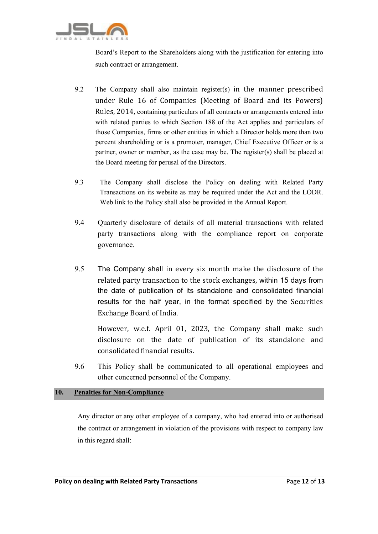

Board's Report to the Shareholders along with the justification for entering into such contract or arrangement.

- 9.2 The Company shall also maintain register(s) in the manner prescribed under Rule 16 of Companies (Meeting of Board and its Powers) Rules, 2014, containing particulars of all contracts or arrangements entered into with related parties to which Section 188 of the Act applies and particulars of those Companies, firms or other entities in which a Director holds more than two percent shareholding or is a promoter, manager, Chief Executive Officer or is a partner, owner or member, as the case may be. The register(s) shall be placed at the Board meeting for perusal of the Directors.
- 9.3 The Company shall disclose the Policy on dealing with Related Party Transactions on its website as may be required under the Act and the LODR. Web link to the Policy shall also be provided in the Annual Report.
- 9.4 Quarterly disclosure of details of all material transactions with related party transactions along with the compliance report on corporate governance.
- 9.5 The Company shall in every six month make the disclosure of the related party transaction to the stock exchanges, within 15 days from the date of publication of its standalone and consolidated financial results for the half year, in the format specified by the Securities Exchange Board of India.

However, w.e.f. April 01, 2023, the Company shall make such disclosure on the date of publication of its standalone and consolidated financial results.

9.6 This Policy shall be communicated to all operational employees and other concerned personnel of the Company.

#### 10. Penalties for Non-Compliance

Any director or any other employee of a company, who had entered into or authorised the contract or arrangement in violation of the provisions with respect to company law in this regard shall: